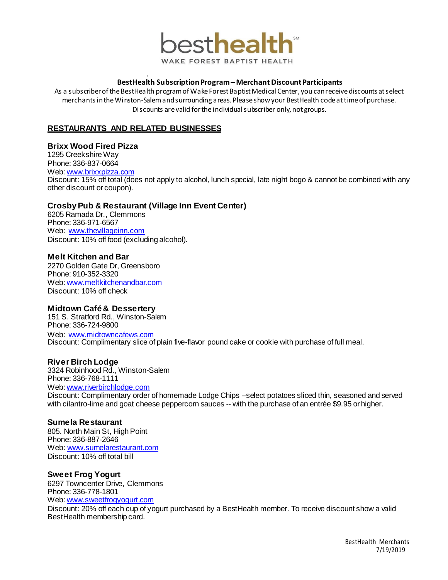

#### **BestHealth SubscriptionProgram – Merchant DiscountParticipants**

As a subscriber of the BestHealth program of Wake Forest Baptist Medical Center, you can receive discounts atselect merchants in the Winston-Salemand surrounding areas. Please show your BestHealth codeat timeof purchase. Discounts are valid for the individual subscriber only, not groups.

## **RESTAURANTS AND RELATED BUSINESSES**

8

#### **Brixx Wood Fired Pizza**

1295 Creekshire Wav

Phone: 336-837-0664

#### Web: [www.brixxpizza.com](http://www.brixxpizza.com/)

Discount: 15% off total (does not apply to alcohol, lunch special, late night bogo & cannot be combined with any other discount or coupon).

### **Crosby Pub & Restaurant (Village Inn Event Center)**

6205 Ramada Dr., Clemmons Phone: 336-971-6567 Web: [www.thevillageinn.com](http://www.thevillageinn.com/) Discount: 10% off food (excluding alcohol).

#### **Melt Kitchen and Bar**

2270 Golden Gate Dr, Greensboro Phone: 910-352-3320 Web: [www.meltkitchenandbar.com](http://www.meltkitchenandbar.com/) Discount: 10% off check

#### **Midtown Café & Dessertery**

151 S. Stratford Rd., Winston-Salem Phone: 336-724-9800 Web: [www.midtowncafews.com](http://www.midtowncafews.com/) Discount: Complimentary slice of plain five-flavor pound cake or cookie with purchase of full meal.

#### **River Birch Lodge**

3324 Robinhood Rd., Winston-Salem Phone: 336-768-1111 Web: [www.riverbirchlodge.com](http://www.riverbirchlodge.com/) Discount: Complimentary order of homemade Lodge Chips –select potatoes sliced thin, seasoned and served with cilantro-lime and goat cheese peppercorn sauces -- with the purchase of an entrée \$9.95 orhigher.

#### **Sumela Restaurant**

805. North Main St. High Point Phone: 336-887-2646 Web: [www.sumelarestaurant.com](http://www.sumelarestaurant.com/) Discount: 10% off total bill

#### **Sweet Frog Yogurt**

6297 Towncenter Drive, Clemmons Phone: 336-778-1801 Web: [www.sweetfrogyogurt.com](http://www.sweetfrogyogurt.com/)

Discount: 20% off each cup of yogurt purchased by a BestHealth member. To receive discount show a valid BestHealth membership card.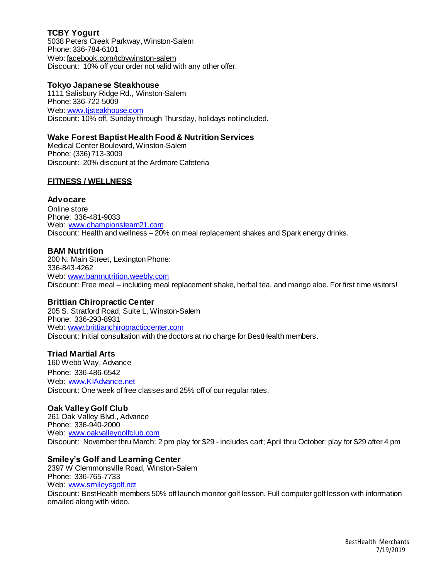# **TCBY Yogurt**

5038 Peters Creek Parkway, Winston-Salem Phone: 336-784-6101 Web: facebook.com/tcbywinston-salem Discount: 10% off your order not valid with any other offer.

### **Tokyo Japanese Steakhouse**

1111 Salisbury Ridge Rd., Winston-Salem Phone: 336-722-5009 Web: [www.tjsteakhouse.com](http://www.tjsteakhouse.com/) Discount: 10% off, Sunday through Thursday, holidays not included.

### **Wake Forest Baptist Health Food & NutritionServices**

Medical Center Boulevard, Winston-Salem Phone: (336) 713-3009 Discount: 20% discount at the Ardmore Cafeteria

## **FITNESS / WELLNESS**

### **Advocare**

Online store Phone: 336-481-9033 Web: [www.championsteam21.com](http://www.championsteam21.com/) Discount: Health and wellness – 20% on meal replacement shakes and Spark energy drinks.

### **BAM Nutrition**

200 N. Main Street, Lexington Phone: 336-843-4262 Web: [www.bamnutrition.weebly.com](http://www.bamnutrition.weebly.com/) Discount: Free meal – including meal replacement shake, herbal tea, and mango aloe. For first time visitors!

#### **Brittian Chiropractic Center**

205 S. Stratford Road, Suite L, Winston-Salem Phone: 336-293-8931 Web: [www.brittianchiropracticcenter.com](http://www.brittianchiropracticcenter.com/) Discount: Initial consultation with the doctors at no charge for BestHealth members.

#### **Triad Martial Arts**

160 Webb Way, Advance Phone: 336-486-6542 Web: [www.KIAdvance.net](http://www.kiadvance.net/) Discount: One week of free classes and 25% off of our regular rates.

## **Oak Valley Golf Club**

261 Oak Valley Blvd., Advance Phone: 336-940-2000 Web: [www.oakvalleygolfclub.com](http://www.oakvalleygolfclub.com/) Discount: November thru March: 2 pm play for \$29 - includes cart; April thru October: play for \$29 after 4 pm

### **Smiley's Golf and Learning Center**

2397 W Clemmonsville Road, Winston-Salem Phone: 336-765-7733 Web: [www.smileysgolf.net](http://www.smileysgolf.net/) Discount: BestHealth members 50% off launch monitor golf lesson. Full computer golf lesson with information emailed along with video.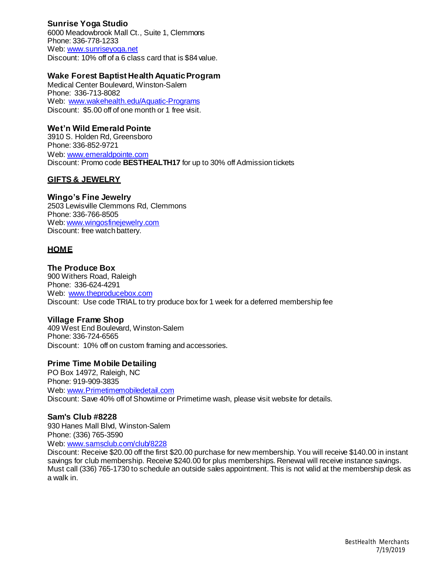# **Sunrise Yoga Studio**

6000 Meadowbrook Mall Ct., Suite 1, Clemmons Phone: 336-778-1233 Web: [www.sunriseyoga.net](http://www.sunriseyoga.net/) Discount: 10% off of a 6 class card that is \$84value.

### **Wake Forest Baptist Health AquaticProgram**

Medical Center Boulevard, Winston-Salem Phone: 336-713-8082 Web: [www.wakehealth.edu/Aquatic-Programs](http://www.wakehealth.edu/Aquatic-Programs) Discount: \$5.00 off of one month or 1 free visit.

### **Wet'n Wild Emerald Pointe**

3910 S. Holden Rd, Greensboro Phone: 336-852-9721 Web: [www.emeraldpointe.com](http://www.emeraldpointe.com/) Discount: Promo code **BESTHEALTH17** for up to 30% off Admission tickets

## **GIFTS & JEWELRY**

#### **Wingo's Fine Jewelry**

2503 Lewisville Clemmons Rd, Clemmons Phone: 336-766-8505 Web: [www.wingosfinejewelry.com](http://www.wingosfinejewelry.com/) Discount: free watch battery.

### **HOME**

#### **The Produce Box**

900 Withers Road, Raleigh Phone: 336-624-4291 Web: [www.theproducebox.com](http://www.theproducebox.com/) Discount: Use code TRIAL to try produce box for 1 week for a deferred membership fee

#### **Village Frame Shop**

409 West End Boulevard, Winston-Salem Phone: 336-724-6565 Discount: 10% off on custom framing and accessories.

#### **Prime Time Mobile Detailing**

PO Box 14972, Raleigh, NC Phone: 919-909-3835 Web[: www.Primetimemobiledetail.com](http://www.primetimemobiledetail.com/)  Discount: Save 40% off of Showtime or Primetime wash, please visit website for details.

#### **Sam's Club #8228**

930 Hanes Mall Blvd, Winston-Salem Phone: (336) 765-3590 Web[: www.samsclub.com/club/8228](http://www.samsclub.com/club/8228)

Discount: Receive \$20.00 off the first \$20.00 purchase for new membership. You will receive \$140.00 in instant savings for club membership. Receive \$240.00 for plus memberships. Renewal will receive instance savings. Must call (336) 765-1730 to schedule an outside sales appointment. This is not valid at the membership desk as a walk in.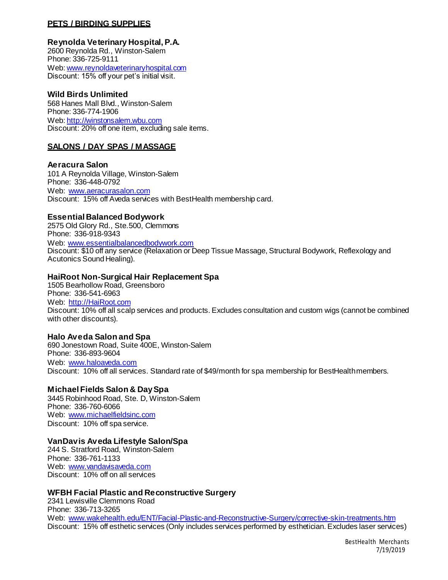### **PETS / BIRDING SUPPLIES**

#### **Reynolda Veterinary Hospital,P.A.**

2600 Reynolda Rd., Winston-Salem Phone: 336-725-9111 Web: [www.reynoldaveterinaryhospital.com](http://www.reynoldaveterinaryhospital.com/) Discount: 15% off your pet's initial visit.

### **Wild Birds Unlimited**

568 Hanes Mall Blvd., Winston-Salem Phone: 336-774-1906 Web: [http://winstonsalem.wbu.com](http://winstonsalem.wbu.com/) Discount: 20% off one item, excluding sale items.

### **SALONS / DAY SPAS / MASSAGE**

#### **Aeracura Salon** 101 A Reynolda Village, Winston-Salem Phone: 336-448-0792 Web: [www.aeracurasalon.com](http://www.aeracurasalon.com/) Discount: 15% off Aveda services with BestHealth membership card.

#### **Essential Balanced Bodywork**

2575 Old Glory Rd., Ste.500, Clemmons Phone: 336-918-9343 Web: [www.essentialbalancedbodywork.com](http://www.essentialbalancedbodywork.com/) Discount: \$10 off any service (Relaxation or Deep Tissue Massage, Structural Bodywork, Reflexology and Acutonics Sound Healing).

#### **HaiRoot Non-Surgical Hair Replacement Spa**

1505 Bearhollow Road, Greensboro Phone: 336-541-6963 Web: [http://HaiRoot.com](http://hairoot.com/) Discount: 10% off all scalp services and products. Excludes consultation and custom wigs (cannot be combined with other discounts).

#### **Halo Aveda Salon and Spa**

690 Jonestown Road, Suite 400E, Winston-Salem Phone: 336-893-9604 Web: [www.haloaveda.com](http://www.haloaveda.com/) Discount: 10% off all services. Standard rate of \$49/month for spa membership for BestHealthmembers.

#### **Michael Fields Salon & DaySpa**

3445 Robinhood Road, Ste. D, Winston-Salem Phone: 336-760-6066 Web: [www.michaelfieldsinc.com](http://www.michaelfieldsinc.com/) Discount: 10% off spa service.

#### **VanDavis Aveda Lifestyle Salon/Spa**

244 S. Stratford Road, Winston-Salem Phone: 336-761-1133 Web: [www.vandavisaveda.com](http://www.vandavisaveda.com/) Discount: 10% off on all services

#### **WFBH Facial Plastic and Reconstructive Surgery**

2341 Lewisville Clemmons Road Phone: 336-713-3265 Web: [www.wakehealth.edu/ENT/Facial-Plastic-and-Reconstructive-Surgery/corrective-skin-treatments.htm](http://www.wakehealth.edu/ENT/Facial-Plastic-and-Reconstructive-Surgery/corrective-skin-treatments.htm) Discount: 15% off esthetic services (Only includes services performed by esthetician. Excludes laser services)